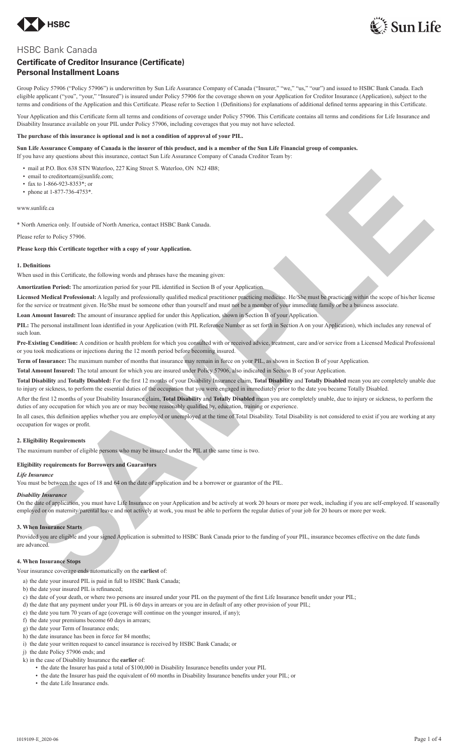



# HSBC Bank Canada

# **Certificate of Creditor Insurance (Certificate) Personal Installment Loans**

Group Policy 57906 ("Policy 57906") is underwritten by Sun Life Assurance Company of Canada ("Insurer," "we," "us," "our") and issued to HSBC Bank Canada. Each eligible applicant ("you", "your," "Insured") is insured under Policy 57906 for the coverage shown on your Application for Creditor Insurance (Application), subject to the terms and conditions of the Application and this Certificate. Please refer to Section 1 (Definitions) for explanations of additional defined terms appearing in this Certificate.

Your Application and this Certificate form all terms and conditions of coverage under Policy 57906. This Certificate contains all terms and conditions for Life Insurance and Disability Insurance available on your PIL under Policy 57906, including coverages that you may not have selected.

# **The purchase of this insurance is optional and is not a condition of approval of your PIL.**

**Sun Life Assurance Company of Canada is the insurer of this product, and is a member of the Sun Life Financial group of companies.** If you have any questions about this insurance, contact Sun Life Assurance Company of Canada Creditor Team by:

• mail at P.O. Box 638 STN Waterloo, 227 King Street S. Waterloo, ON N2J 4B8;

- email to creditorteam@sunlife.com;
- fax to 1-866-923-8353\*; or
- phone at 1-877-736-4753\*

www.sunlife.ca

\* North America only. If outside of North America, contact HSBC Bank Canada.

Please refer to Policy 57906.

**Please keep this Certificate together with a copy of your Application.**

## **1. Definitions**

When used in this Certificate, the following words and phrases have the meaning given:

**Amortization Period:** The amortization period for your PIL identified in Section B of your Application.

Licensed Medical Professional: A legally and professionally qualified medical practitioner practicing medicine. He/She must be practicing within the scope of his/her license for the service or treatment given. He/She must be someone other than yourself and must not be a member of your immediate family or be a business associate. **Countries and the countries of the same of the same of the same of the same of the same of the same of the same of the same of the same of the same of the same of the same of the same of the same of the same of the same o** 

**Loan Amount Insured:** The amount of insurance applied for under this Application, shown in Section B of your Application.

**PIL:** The personal installment loan identified in your Application (with PIL Reference Number as set forth in Section A on your Application), which includes any renewal of such loan.

**Pre-Existing Condition:** A condition or health problem for which you consulted with or received advice, treatment, care and/or service from a Licensed Medical Professional or you took medications or injections during the 12 month period before becoming insured.

**Term of Insurance:** The maximum number of months that insurance may remain in force on your PIL, as shown in Section B of your Application.

**Total Amount Insured:** The total amount for which you are insured under Policy 57906, also indicated in Section B of your Application.

**Total Disability** and **Totally Disabled:** For the first 12 months of your Disability Insurance claim, **Total Disability** and **Totally Disabled** mean you are completely unable due to injury or sickness, to perform the essential duties of the occupation that you were engaged in immediately prior to the date you became Totally Disabled.

After the first 12 months of your Disability Insurance claim, **Total Disability** and **Totally Disabled** mean you are completely unable, due to injury or sickness, to perform the duties of any occupation for which you are or may become reasonably qualified by, education, training or experience.

In all cases, this definition applies whether you are employed or unemployed at the time of Total Disability. Total Disability is not considered to exist if you are working at any occupation for wages or profit.

# **2. Eligibility Requirements**

The maximum number of eligible persons who may be insured under the PIL at the same time is two.

# **Eligibility requirements for Borrowers and Guarantors**

### *Life Insurance*

You must be between the ages of 18 and 64 on the date of application and be a borrower or guarantor of the PIL.

# *Disability Insurance*

On the date of application, you must have Life Insurance on your Application and be actively at work 20 hours or more per week, including if you are self-employed. If seasonally employed or on maternity/parental leave and not actively at work, you must be able to perform the regular duties of your job for 20 hours or more per week.

### **3. When Insurance Starts**

Provided you are eligible and your signed Application is submitted to HSBC Bank Canada prior to the funding of your PIL, insurance becomes effective on the date funds are advanced.

### **4. When Insurance Stops**

Your insurance coverage ends automatically on the **earliest** of:

- a) the date your insured PIL is paid in full to HSBC Bank Canada;
- b) the date your insured PIL is refinanced;
- c) the date of your death, or where two persons are insured under your PIL on the payment of the first Life Insurance benefit under your PIL;
- d) the date that any payment under your PIL is 60 days in arrears or you are in default of any other provision of your PIL:
- e) the date you turn 70 years of age (coverage will continue on the younger insured, if any);
- f) the date your premiums become 60 days in arrears;
- g) the date your Term of Insurance ends;
- h) the date insurance has been in force for 84 months;
- i) the date your written request to cancel insurance is received by HSBC Bank Canada; or
- j) the date Policy 57906 ends; and
- k) in the case of Disability Insurance the **earlier** of:
	- the date the Insurer has paid a total of \$100,000 in Disability Insurance benefits under your PIL
	- the date the Insurer has paid the equivalent of 60 months in Disability Insurance benefits under your PIL; or
	- the date Life Insurance ends.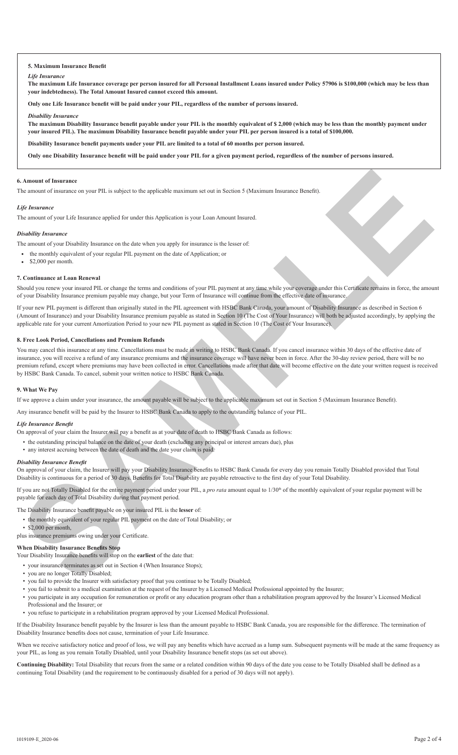### **5. Maximum Insurance Benefit**

### *Life Insurance*

**The maximum Life Insurance coverage per person insured for all Personal Installment Loans insured under Policy 57906 is \$100,000 (which may be less than your indebtedness). The Total Amount Insured cannot exceed this amount.**

**Only one Life Insurance benefit will be paid under your PIL, regardless of the number of persons insured.**

#### *Disability Insurance*

**The maximum Disability Insurance benefit payable under your PIL is the monthly equivalent of \$ 2,000 (which may be less than the monthly payment under your insured PIL). The maximum Disability Insurance benefit payable under your PIL per person insured is a total of \$100,000.**

**Disability Insurance benefit payments under your PIL are limited to a total of 60 months per person insured.**

**Only one Disability Insurance benefit will be paid under your PIL for a given payment period, regardless of the number of persons insured.**

### **6. Amount of Insurance**

The amount of insurance on your PIL is subject to the applicable maximum set out in Section 5 (Maximum Insurance Benefit).

#### *Life Insurance*

The amount of your Life Insurance applied for under this Application is your Loan Amount Insured.

#### *Disability Insurance*

The amount of your Disability Insurance on the date when you apply for insurance is the lesser of:

- the monthly equivalent of your regular PIL payment on the date of Application; or
- \$2,000 per month.

## **7. Continuance at Loan Renewal**

Should you renew your insured PIL or change the terms and conditions of your PIL payment at any time while your coverage under this Certificate remains in force, the amount of your Disability Insurance premium payable may change, but your Term of Insurance will continue from the effective date of insurance.

If your new PIL payment is different than originally stated in the PIL agreement with HSBC Bank Canada, your amount of Disability Insurance as described in Section 6 (Amount of Insurance) and your Disability Insurance premium payable as stated in Section 10 (The Cost of Your Insurance) will both be adjusted accordingly, by applying the applicable rate for your current Amortization Period to your new PIL payment as stated in Section 10 (The Cost of Your Insurance).

# **8. Free Look Period, Cancellations and Premium Refunds**

You may cancel this insurance at any time. Cancellations must be made in writing to HSBC Bank Canada. If you cancel insurance within 30 days of the effective date of insurance, you will receive a refund of any insurance premiums and the insurance coverage will have never been in force. After the 30-day review period, there will be no premium refund, except where premiums may have been collected in error. Cancellations made after that date will become effective on the date your written request is received by HSBC Bank Canada. To cancel, submit your written notice to HSBC Bank Canada. In A meant of Learnace<br>The means of the sample of the sample scale applicable mechanisms in the Statis (Macinton-Internal Review)<br>The means of the internal space of the sample scale and the same of continues in the same of

# **9. What We Pay**

If we approve a claim under your insurance, the amount payable will be subject to the applicable maximum set out in Section 5 (Maximum Insurance Benefit).

Any insurance benefit will be paid by the Insurer to HSBC Bank Canada to apply to the outstanding balance of your PIL.

# *Life Insurance Benefit*

- On approval of your claim the Insurer will pay a benefit as at your date of death to HSBC Bank Canada as follows:
	- the outstanding principal balance on the date of your death (excluding any principal or interest arrears due), plus
	- any interest accruing between the date of death and the date your claim is paid.

#### *Disability Insurance Benefit*

On approval of your claim, the Insurer will pay your Disability Insurance benefits to HSBC Bank Canada for every day you remain Totally Disabled provided that Total Disability is continuous for a period of 30 days. Benefits for Total Disability are payable retroactive to the first day of your Total Disability.

If you are not Totally Disabled for the entire payment period under your PIL, a *pro rata* amount equal to 1/30<sup>th</sup> of the monthly equivalent of your regular payment will be payable for each day of Total Disability during that payment period.

The Disability Insurance benefit payable on your insured PIL is the **lesser** of:

- the monthly equivalent of your regular PIL payment on the date of Total Disability; or
- \$2,000 per month,

plus insurance premiums owing under your Certificate.

# **When Disability Insurance Benefits Stop**

Your Disability Insurance benefits will stop on the **earliest** of the date that:

- your insurance terminates as set out in Section 4 (When Insurance Stops);
- you are no longer Totally Disabled;
- you fail to provide the Insurer with satisfactory proof that you continue to be Totally Disabled;
- you fail to submit to a medical examination at the request of the Insurer by a Licensed Medical Professional appointed by the Insurer;
- you participate in any occupation for remuneration or profit or any education program other than a rehabilitation program approved by the Insurer's Licensed Medical Professional and the Insurer; or
- you refuse to participate in a rehabilitation program approved by your Licensed Medical Professional.

If the Disability Insurance benefit payable by the Insurer is less than the amount payable to HSBC Bank Canada, you are responsible for the difference. The termination of Disability Insurance benefits does not cause, termination of your Life Insurance.

When we receive satisfactory notice and proof of loss, we will pay any benefits which have accrued as a lump sum. Subsequent payments will be made at the same frequency as your PIL, as long as you remain Totally Disabled, until your Disability Insurance benefit stops (as set out above).

**Continuing Disability:** Total Disability that recurs from the same or a related condition within 90 days of the date you cease to be Totally Disabled shall be defined as a continuing Total Disability (and the requirement to be continuously disabled for a period of 30 days will not apply).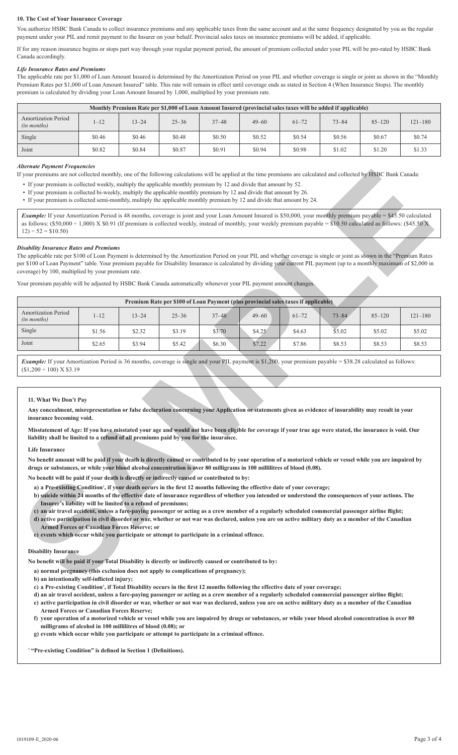# **10. The Cost of Your Insurance Coverage**

You authorize HSBC Bank Canada to collect insurance premiums and any applicable taxes from the same account and at the same frequency designated by you as the regular payment under your PIL and remit payment to the Insurer on your behalf. Provincial sales taxes on insurance premiums will be added, if applicable.

If for any reason insurance begins or stops part way through your regular payment period, the amount of premium collected under your PIL will be pro-rated by HSBC Bank Canada accordingly.

# *Life Insurance Rates and Premiums*

The applicable rate per \$1,000 of Loan Amount Insured is determined by the Amortization Period on your PIL and whether coverage is single or joint as shown in the "Monthly Premium Rates per \$1,000 of Loan Amount Insured" table. This rate will remain in effect until coverage ends as stated in Section 4 (When Insurance Stops). The monthly premium is calculated by dividing your Loan Amount Insured by 1,000, multiplied by your premium rate.

| Monthly Premium Rate per \$1,000 of Loan Amount Insured (provincial sales taxes will be added if applicable) |          |           |           |           |           |           |           |            |             |  |  |
|--------------------------------------------------------------------------------------------------------------|----------|-----------|-----------|-----------|-----------|-----------|-----------|------------|-------------|--|--|
| <b>Amortization Period</b><br>(in months)                                                                    | $1 - 12$ | $13 - 24$ | $25 - 36$ | $37 - 48$ | $49 - 60$ | $61 - 72$ | $73 - 84$ | $85 - 120$ | $121 - 180$ |  |  |
| Single                                                                                                       | \$0.46   | \$0.46    | \$0.48    | \$0.50    | \$0.52    | \$0.54    | \$0.56    | \$0.67     | \$0.74      |  |  |
| Joint                                                                                                        | \$0.82   | \$0.84    | \$0.87    | \$0.91    | \$0.94    | \$0.98    | \$1.02    | \$1.20     | \$1.33      |  |  |

### *Alternate Payment Frequencies*

- If your premium is collected weekly, multiply the applicable monthly premium by 12 and divide that amount by 52.
- If your premium is collected bi-weekly, multiply the applicable monthly premium by 12 and divide that amount by 26.
- If your premium is collected semi-monthly, multiply the applicable monthly premium by 12 and divide that amount by 24.

## *Disability Insurance Rates and Premiums*

| If your premiums are not collected monthly, one of the following calculations will be applied at the time premiums are calculated and collected by HSBC Bank Canada:                                                                                                                                                                                                                                                                                           |                                                                                                                    |           |           |                                                                                                                                                                                                                                                                                                                                                                                                                                                                                                                                                                                                                                                                                                               |           |           |           |            |             |
|----------------------------------------------------------------------------------------------------------------------------------------------------------------------------------------------------------------------------------------------------------------------------------------------------------------------------------------------------------------------------------------------------------------------------------------------------------------|--------------------------------------------------------------------------------------------------------------------|-----------|-----------|---------------------------------------------------------------------------------------------------------------------------------------------------------------------------------------------------------------------------------------------------------------------------------------------------------------------------------------------------------------------------------------------------------------------------------------------------------------------------------------------------------------------------------------------------------------------------------------------------------------------------------------------------------------------------------------------------------------|-----------|-----------|-----------|------------|-------------|
| • If your premium is collected weekly, multiply the applicable monthly premium by 12 and divide that amount by 52.<br>• If your premium is collected bi-weekly, multiply the applicable monthly premium by 12 and divide that amount by 26.<br>• If your premium is collected semi-monthly, multiply the applicable monthly premium by 12 and divide that amount by 24.                                                                                        |                                                                                                                    |           |           |                                                                                                                                                                                                                                                                                                                                                                                                                                                                                                                                                                                                                                                                                                               |           |           |           |            |             |
| Example: If your Amortization Period is 48 months, coverage is joint and your Loan Amount Insured is \$50,000, your monthly premium payable = \$45.50 calculated<br>as follows: $(\$50,000 + 1,000)$ X $\$0.91$ (If premium is collected weekly, instead of monthly, your weekly premium payable = $\$10.50$ calculated as follows: $(\$45.50$ X<br>$12$ ÷ 52 = \$10.50)                                                                                       |                                                                                                                    |           |           |                                                                                                                                                                                                                                                                                                                                                                                                                                                                                                                                                                                                                                                                                                               |           |           |           |            |             |
| <b>Disability Insurance Rates and Premiums</b><br>The applicable rate per \$100 of Loan Payment is determined by the Amortization Period on your PIL and whether coverage is single or joint as shown in the "Premium Rates<br>per \$100 of Loan Payment" table. Your premium payable for Disability Insurance is calculated by dividing your current PIL payment (up to a monthly maximum of \$2,000 in<br>coverage) by 100, multiplied by your premium rate. |                                                                                                                    |           |           |                                                                                                                                                                                                                                                                                                                                                                                                                                                                                                                                                                                                                                                                                                               |           |           |           |            |             |
| Your premium payable will be adjusted by HSBC Bank Canada automatically whenever your PIL payment amount changes.                                                                                                                                                                                                                                                                                                                                              |                                                                                                                    |           |           |                                                                                                                                                                                                                                                                                                                                                                                                                                                                                                                                                                                                                                                                                                               |           |           |           |            |             |
|                                                                                                                                                                                                                                                                                                                                                                                                                                                                |                                                                                                                    |           |           | Premium Rate per \$100 of Loan Payment (plus provincial sales taxes if applicable)                                                                                                                                                                                                                                                                                                                                                                                                                                                                                                                                                                                                                            |           |           |           |            |             |
| <b>Amortization Period</b><br>(in months)                                                                                                                                                                                                                                                                                                                                                                                                                      | $1 - 12$                                                                                                           | $13 - 24$ | $25 - 36$ | $37 - 48$                                                                                                                                                                                                                                                                                                                                                                                                                                                                                                                                                                                                                                                                                                     | $49 - 60$ | $61 - 72$ | $73 - 84$ | $85 - 120$ | $121 - 180$ |
| Single                                                                                                                                                                                                                                                                                                                                                                                                                                                         | \$1.56                                                                                                             | \$2.32    | \$3.19    | \$3.70                                                                                                                                                                                                                                                                                                                                                                                                                                                                                                                                                                                                                                                                                                        | \$4.25    | \$4.63    | \$5.02    | \$5.02     | \$5.02      |
| Joint                                                                                                                                                                                                                                                                                                                                                                                                                                                          | \$2.65                                                                                                             | \$3.94    | \$5.42    | \$6.30                                                                                                                                                                                                                                                                                                                                                                                                                                                                                                                                                                                                                                                                                                        | \$7.22    | \$7.86    | \$8.53    | \$8.53     | \$8.53      |
| 11. What We Don't Pay<br>Any concealment, misrepresentation or false declaration concerning your Application or statements given as evidence of insurability may result in your<br>insurance becoming void.                                                                                                                                                                                                                                                    |                                                                                                                    |           |           |                                                                                                                                                                                                                                                                                                                                                                                                                                                                                                                                                                                                                                                                                                               |           |           |           |            |             |
| Misstatement of Age: If you have misstated your age and would not have been eligible for coverage if your true age were stated, the insurance is void. Our<br>liability shall be limited to a refund of all premiums paid by you for the insurance.                                                                                                                                                                                                            |                                                                                                                    |           |           |                                                                                                                                                                                                                                                                                                                                                                                                                                                                                                                                                                                                                                                                                                               |           |           |           |            |             |
| <b>Life Insurance</b>                                                                                                                                                                                                                                                                                                                                                                                                                                          |                                                                                                                    |           |           |                                                                                                                                                                                                                                                                                                                                                                                                                                                                                                                                                                                                                                                                                                               |           |           |           |            |             |
| No benefit amount will be paid if your death is directly caused or contributed to by your operation of a motorized vehicle or vessel while you are impaired by<br>drugs or substances, or while your blood alcohol concentration is over 80 milligrams in 100 millilitres of blood (0.08).                                                                                                                                                                     |                                                                                                                    |           |           |                                                                                                                                                                                                                                                                                                                                                                                                                                                                                                                                                                                                                                                                                                               |           |           |           |            |             |
| No benefit will be paid if your death is directly or indirectly caused or contributed to by:                                                                                                                                                                                                                                                                                                                                                                   |                                                                                                                    |           |           |                                                                                                                                                                                                                                                                                                                                                                                                                                                                                                                                                                                                                                                                                                               |           |           |           |            |             |
|                                                                                                                                                                                                                                                                                                                                                                                                                                                                | Insurer's liability will be limited to a refund of premiums;<br><b>Armed Forces or Canadian Forces Reserve; or</b> |           |           | a) a Pre-existing Condition <sup>†</sup> , if your death occurs in the first 12 months following the effective date of your coverage;<br>b) suicide within 24 months of the effective date of insurance regardless of whether you intended or understood the consequences of your actions. The<br>c) an air travel accident, unless a fare-paying passenger or acting as a crew member of a regularly scheduled commercial passenger airline flight;<br>d) active participation in civil disorder or war, whether or not war was declared, unless you are on active military duty as a member of the Canadian<br>e) events which occur while you participate or attempt to participate in a criminal offence. |           |           |           |            |             |
| <b>Disability Insurance</b>                                                                                                                                                                                                                                                                                                                                                                                                                                    |                                                                                                                    |           |           |                                                                                                                                                                                                                                                                                                                                                                                                                                                                                                                                                                                                                                                                                                               |           |           |           |            |             |
| No benefit will be paid if your Total Disability is directly or indirectly caused or contributed to by:                                                                                                                                                                                                                                                                                                                                                        |                                                                                                                    |           |           |                                                                                                                                                                                                                                                                                                                                                                                                                                                                                                                                                                                                                                                                                                               |           |           |           |            |             |
| b) an intentionally self-inflicted injury;                                                                                                                                                                                                                                                                                                                                                                                                                     |                                                                                                                    |           |           | a) normal pregnancy (this exclusion does not apply to complications of pregnancy);                                                                                                                                                                                                                                                                                                                                                                                                                                                                                                                                                                                                                            |           |           |           |            |             |

#### **11. What We Don't Pay**

# **Any concealment, misrepresentation or false declaration concerning your Application or statements given as evidence of insurability may result in your insurance becoming void.**

#### **Life Insurance**

#### **No benefit will be paid if your death is directly or indirectly caused or contributed to by:**

- **a) a Pre-existing Condition† , if your death occurs in the first 12 months following the effective date of your coverage;**
- **b) suicide within 24 months of the effective date of insurance regardless of whether you intended or understood the consequences of your actions. The Insurer's liability will be limited to a refund of premiums;**
- **c) an air travel accident, unless a fare-paying passenger or acting as a crew member of a regularly scheduled commercial passenger airline flight;**
- **d) active participation in civil disorder or war, whether or not war was declared, unless you are on active military duty as a member of the Canadian Armed Forces or Canadian Forces Reserve; or**
- **e) events which occur while you participate or attempt to participate in a criminal offence.**

#### **Disability Insurance**

- **a) normal pregnancy (this exclusion does not apply to complications of pregnancy);**
- **b) an intentionally self-inflicted injury;**
- **c) a Pre-existing Condition† , if Total Disability occurs in the first 12 months following the effective date of your coverage;**
- **d) an air travel accident, unless a fare-paying passenger or acting as a crew member of a regularly scheduled commercial passenger airline flight;**
- **e) active participation in civil disorder or war, whether or not war was declared, unless you are on active military duty as a member of the Canadian Armed Forces or Canadian Forces Reserve;**
- **f) your operation of a motorized vehicle or vessel while you are impaired by drugs or substances, or while your blood alcohol concentration is over 80 milligrams of alcohol in 100 millilitres of blood (0.08); or**
- **g) events which occur while you participate or attempt to participate in a criminal offence.**

#### †  **"Pre-existing Condition" is defined in Section 1 (Definitions).**